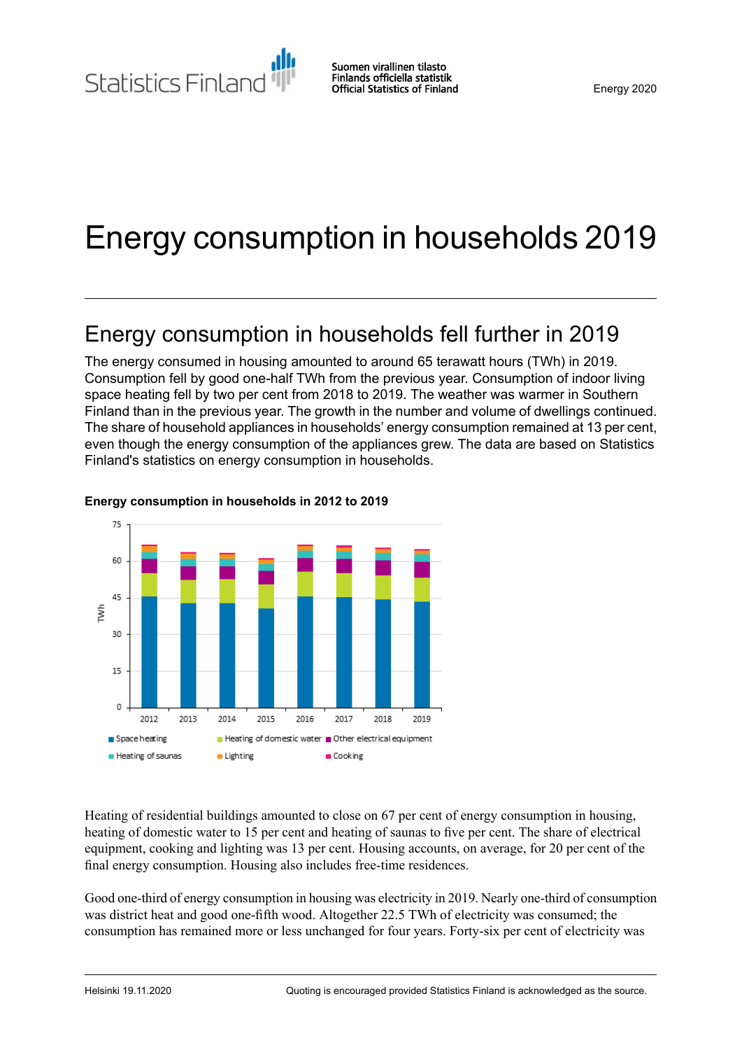Statistics Finland

Suomen virallinen tilasto Finlands officiella statistik **Official Statistics of Finland** 

# Energy consumption in households 2019

## Energy consumption in households fell further in 2019

The energy consumed in housing amounted to around 65 terawatt hours (TWh) in 2019. Consumption fell by good one-half TWh from the previous year. Consumption of indoor living space heating fell by two per cent from 2018 to 2019. The weather was warmer in Southern Finland than in the previous year. The growth in the number and volume of dwellings continued. The share of household appliances in households' energy consumption remained at 13 per cent, even though the energy consumption of the appliances grew. The data are based on Statistics Finland's statistics on energy consumption in households.



#### **Energy consumption in households in 2012 to 2019**

Heating of residential buildings amounted to close on 67 per cent of energy consumption in housing, heating of domestic water to 15 per cent and heating of saunas to five per cent. The share of electrical equipment, cooking and lighting was 13 per cent. Housing accounts, on average, for 20 per cent of the final energy consumption. Housing also includes free-time residences.

Good one-third of energy consumption in housing was electricity in 2019. Nearly one-third of consumption was district heat and good one-fifth wood. Altogether 22.5 TWh of electricity was consumed; the consumption has remained more or less unchanged for four years. Forty-six per cent of electricity was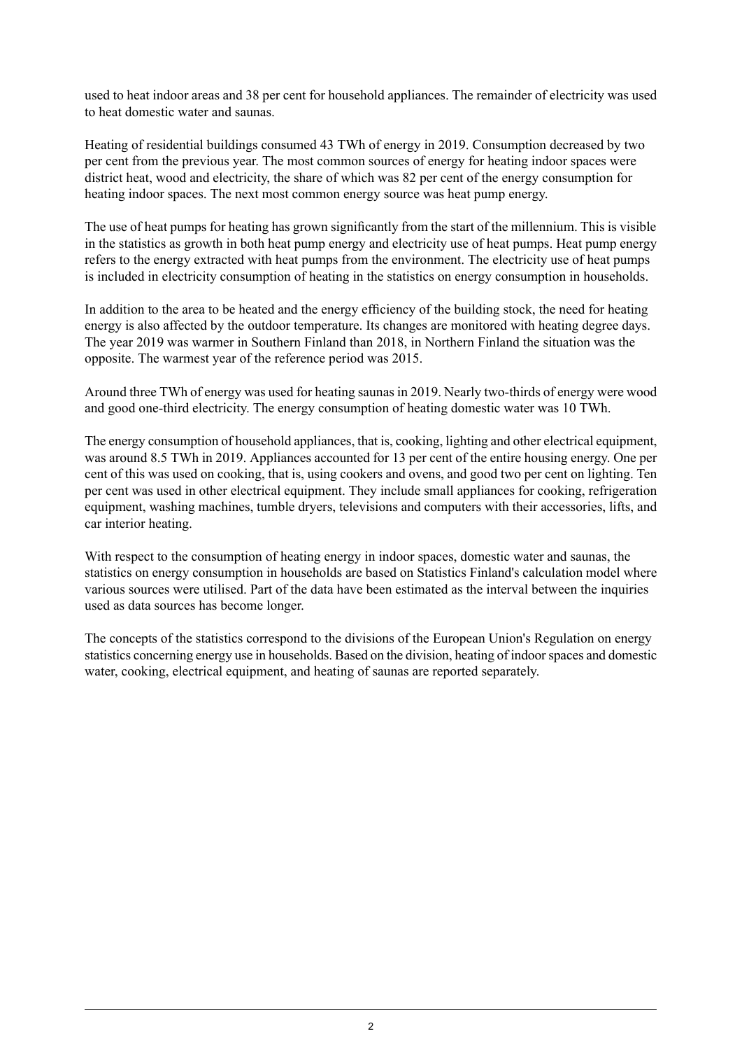used to heat indoor areas and 38 per cent for household appliances. The remainder of electricity was used to heat domestic water and saunas.

Heating of residential buildings consumed 43 TWh of energy in 2019. Consumption decreased by two per cent from the previous year. The most common sources of energy for heating indoor spaces were district heat, wood and electricity, the share of which was 82 per cent of the energy consumption for heating indoor spaces. The next most common energy source was heat pump energy.

The use of heat pumps for heating has grown significantly from the start of the millennium. This is visible in the statistics as growth in both heat pump energy and electricity use of heat pumps. Heat pump energy refers to the energy extracted with heat pumps from the environment. The electricity use of heat pumps is included in electricity consumption of heating in the statistics on energy consumption in households.

In addition to the area to be heated and the energy efficiency of the building stock, the need for heating energy is also affected by the outdoor temperature. Its changes are monitored with heating degree days. The year 2019 was warmer in Southern Finland than 2018, in Northern Finland the situation was the opposite. The warmest year of the reference period was 2015.

Around three TWh of energy was used for heating saunas in 2019. Nearly two-thirds of energy were wood and good one-third electricity. The energy consumption of heating domestic water was 10 TWh.

The energy consumption of household appliances, that is, cooking, lighting and other electrical equipment, was around 8.5 TWh in 2019. Appliances accounted for 13 per cent of the entire housing energy. One per cent of this was used on cooking, that is, using cookers and ovens, and good two per cent on lighting. Ten per cent was used in other electrical equipment. They include small appliances for cooking, refrigeration equipment, washing machines, tumble dryers, televisions and computers with their accessories, lifts, and car interior heating.

With respect to the consumption of heating energy in indoor spaces, domestic water and saunas, the statistics on energy consumption in households are based on Statistics Finland's calculation model where various sources were utilised. Part of the data have been estimated as the interval between the inquiries used as data sources has become longer.

The concepts of the statistics correspond to the divisions of the European Union's Regulation on energy statistics concerning energy use in households. Based on the division, heating of indoorspaces and domestic water, cooking, electrical equipment, and heating of saunas are reported separately.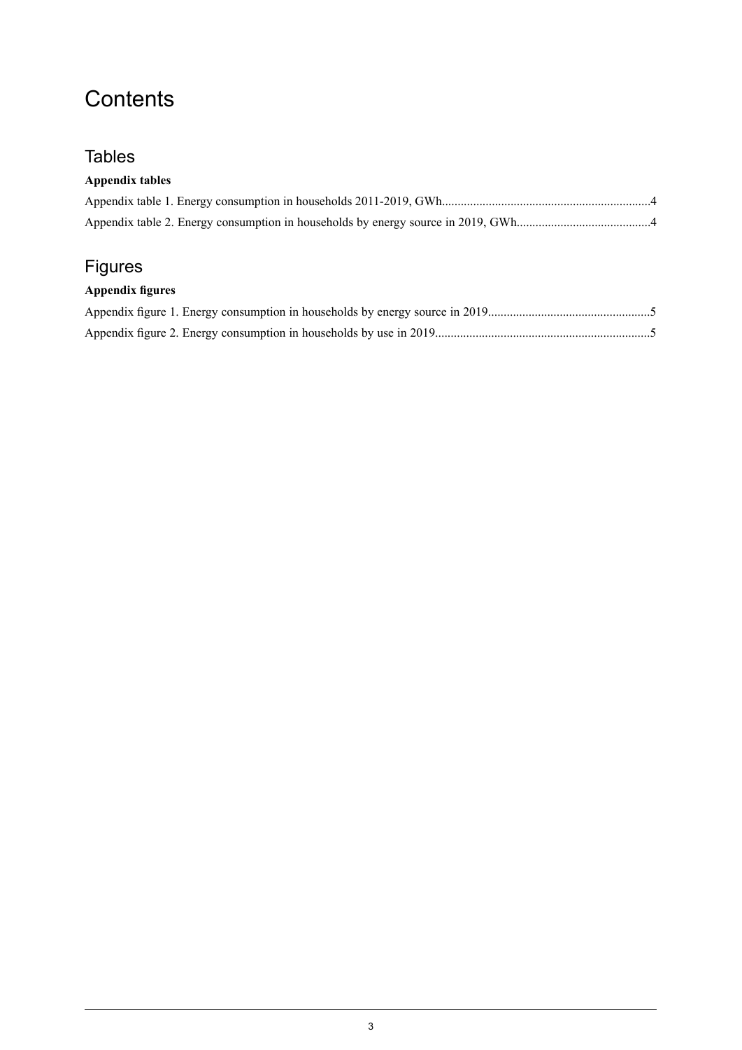## **Contents**

### **Tables**

### **Appendix tables**

### Figures

### **Appendix figures**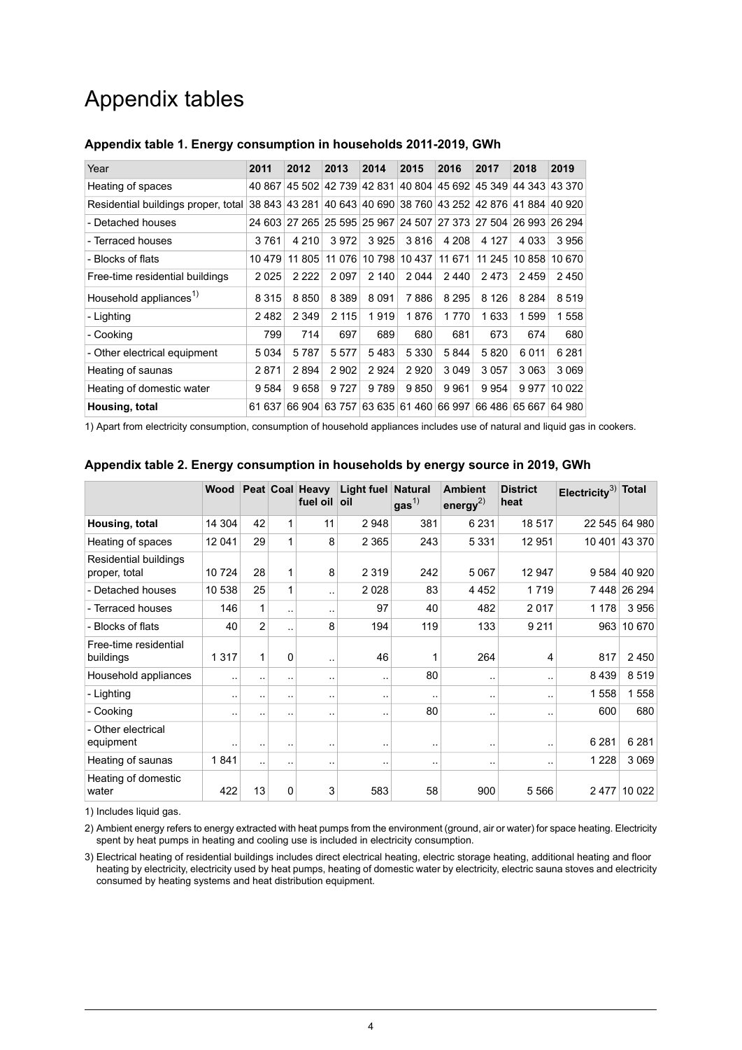## Appendix tables

| Year                                | 2011      | 2012    | 2013    | 2014    | 2015                 | 2016    | 2017    | 2018                                                           | 2019    |
|-------------------------------------|-----------|---------|---------|---------|----------------------|---------|---------|----------------------------------------------------------------|---------|
| Heating of spaces                   | 40 867    | 45 502  | 42 739  | 42 831  |                      |         |         | 40 804 45 692 45 349 44 343 43 370                             |         |
| Residential buildings proper, total |           |         |         |         |                      |         |         | 38 843 43 281 40 643 40 690 38 760 43 252 42 876 41 884 40 920 |         |
| - Detached houses                   |           |         |         |         |                      |         |         | 24 603 27 265 25 595 25 967 24 507 27 373 27 504 26 993 26 294 |         |
| - Terraced houses                   | 3761      | 4 2 1 0 | 3972    | 3925    | 3816                 | 4 208   | 4 1 2 7 | 4 0 3 3                                                        | 3956    |
| - Blocks of flats                   | 10 479    | 11 805  |         |         | 11 076 10 798 10 437 | 11 671  |         | 11 245 10 858                                                  | 10 670  |
| Free-time residential buildings     | 2025      | 2 2 2 2 | 2097    | 2 140   | 2 0 4 4              | 2440    | 2473    | 2459                                                           | 2450    |
| Household appliances <sup>1)</sup>  | 8 3 1 5   | 8 8 5 0 | 8 3 8 9 | 8091    | 7886                 | 8 2 9 5 | 8 1 2 6 | 8 2 8 4                                                        | 8519    |
| - Lighting                          | 2482      | 2 3 4 9 | 2 1 1 5 | 1919    | 1876                 | 1770    | 1633    | 1599                                                           | 1558    |
| - Cooking                           | 799       | 714     | 697     | 689     | 680                  | 681     | 673     | 674                                                            | 680     |
| - Other electrical equipment        | 5034      | 5787    | 5 5 7 7 | 5483    | 5 3 3 0              | 5844    | 5820    | 6011                                                           | 6 2 8 1 |
| Heating of saunas                   | 2871      | 2894    | 2 9 0 2 | 2924    | 2920                 | 3 0 4 9 | 3057    | 3 0 6 3                                                        | 3 0 6 9 |
| Heating of domestic water           | 9 5 8 4   | 9658    | 9727    | 9 7 8 9 | 9850                 | 9961    | 9954    | 9977                                                           | 10 022  |
| Housing, total                      | 637<br>61 | 66 904  | 63 757  |         |                      |         |         | 63 635 61 460 66 997 66 486 65 667                             | 64 980  |

#### <span id="page-3-0"></span>**Appendix table 1. Energy consumption in households 2011-2019, GWh**

<span id="page-3-1"></span>1) Apart from electricity consumption, consumption of household appliances includes use of natural and liquid gas in cookers.

|                                        | <b>Wood</b> |                |                      | Peat Coal Heavy<br>fuel oil | <b>Light fuel Natural</b><br>oil | gas <sup>1</sup> | <b>Ambient</b><br>energy <sup>2)</sup> | <b>District</b><br>heat | Electricity <sup>3)</sup> Total |               |
|----------------------------------------|-------------|----------------|----------------------|-----------------------------|----------------------------------|------------------|----------------------------------------|-------------------------|---------------------------------|---------------|
| Housing, total                         | 14 304      | 42             | 1                    | 11                          | 2948                             | 381              | 6 2 3 1                                | 18517                   |                                 | 22 545 64 980 |
| Heating of spaces                      | 12 041      | 29             | 1                    | 8                           | 2 3 6 5                          | 243              | 5 3 3 1                                | 12 951                  |                                 | 10 401 43 370 |
| Residential buildings<br>proper, total | 10724       | 28             | 1                    | 8                           | 2 3 1 9                          | 242              | 5 0 6 7                                | 12 947                  |                                 | 9 584 40 920  |
| - Detached houses                      | 10 538      | 25             | 1                    | ٠.                          | 2 0 2 8                          | 83               | 4452                                   | 1 7 1 9                 |                                 | 7448 26 294   |
| - Terraced houses                      | 146         | 1              |                      | ٠.                          | 97                               | 40               | 482                                    | 2017                    | 1 1 7 8                         | 3956          |
| - Blocks of flats                      | 40          | $\overline{2}$ | $\ddot{\phantom{a}}$ | 8                           | 194                              | 119              | 133                                    | 9 2 1 1                 | 963                             | 10 670        |
| Free-time residential<br>buildings     | 1 3 1 7     | 1              | 0                    | ٠.                          | 46                               |                  | 264                                    | 4                       | 817                             | 2450          |
| Household appliances                   | $\ddotsc$   | ٠.             |                      |                             | ٠.                               | 80               |                                        | ٠.                      | 8439                            | 8519          |
| - Lighting                             | $\ddotsc$   |                |                      |                             | . .                              |                  |                                        | ٠.                      | 1558                            | 1558          |
| - Cooking                              | $\ddotsc$   |                |                      |                             | ٠.                               | 80               |                                        | . .                     | 600                             | 680           |
| - Other electrical<br>equipment        | $\cdot$ .   |                |                      | $\ddot{\phantom{1}}$        | $\sim$                           | $\sim$           | ٠.                                     | ٠.                      | 6 2 8 1                         | 6 2 8 1       |
| Heating of saunas                      | 1841        | ٠.             |                      | $\ddot{\phantom{1}}$        | $\sim$                           |                  | ٠.                                     | ٠.                      | 1 2 2 8                         | 3 0 6 9       |
| Heating of domestic<br>water           | 422         | 13             | 0                    | 3                           | 583                              | 58               | 900                                    | 5566                    | 2477                            | 10 0 22       |

#### **Appendix table 2. Energy consumption in households by energy source in 2019, GWh**

1) Includes liquid gas.

2) Ambient energy refers to energy extracted with heat pumps from the environment (ground, air or water) for space heating. Electricity spent by heat pumps in heating and cooling use is included in electricity consumption.

Electrical heating of residential buildings includes direct electrical heating, electric storage heating, additional heating and floor 3) heating by electricity, electricity used by heat pumps, heating of domestic water by electricity, electric sauna stoves and electricity consumed by heating systems and heat distribution equipment.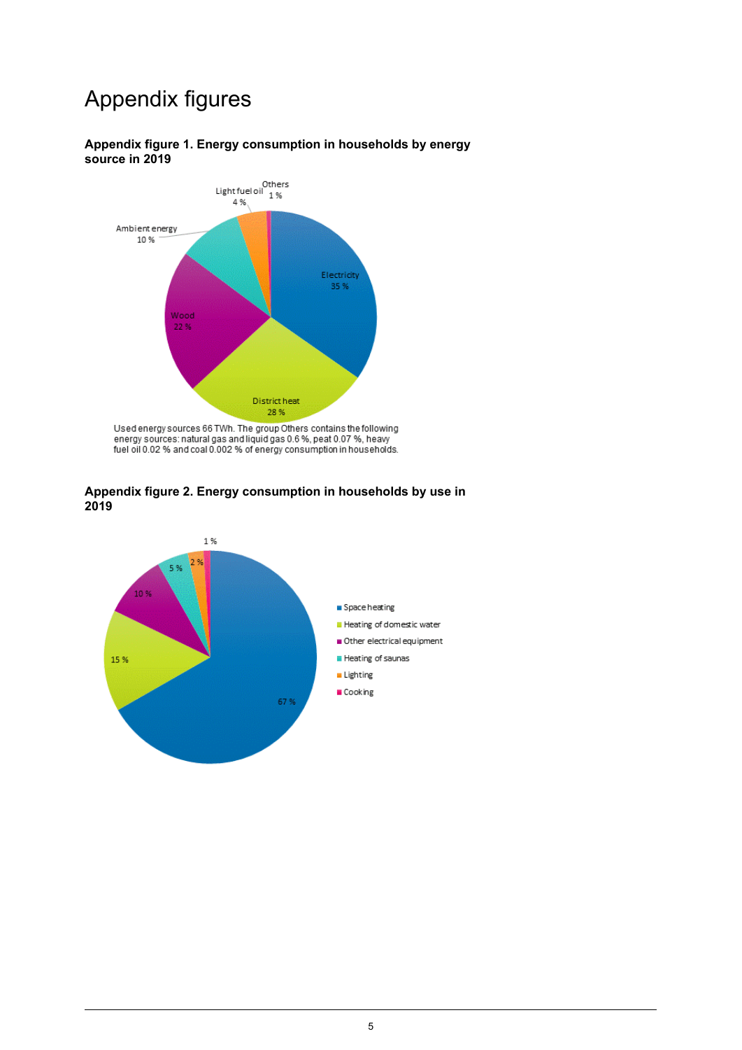## Appendix figures



#### <span id="page-4-0"></span>**Appendix figure 1. Energy consumption in households by energy source in 2019**

<span id="page-4-1"></span>Used energy sources 66 TWh. The group Others contains the following<br>energy sources: natural gas and liquid gas 0.6 %, peat 0.07 %, heavy<br>fuel oil 0.02 % and coal 0.002 % of energy consumption in households.



28%